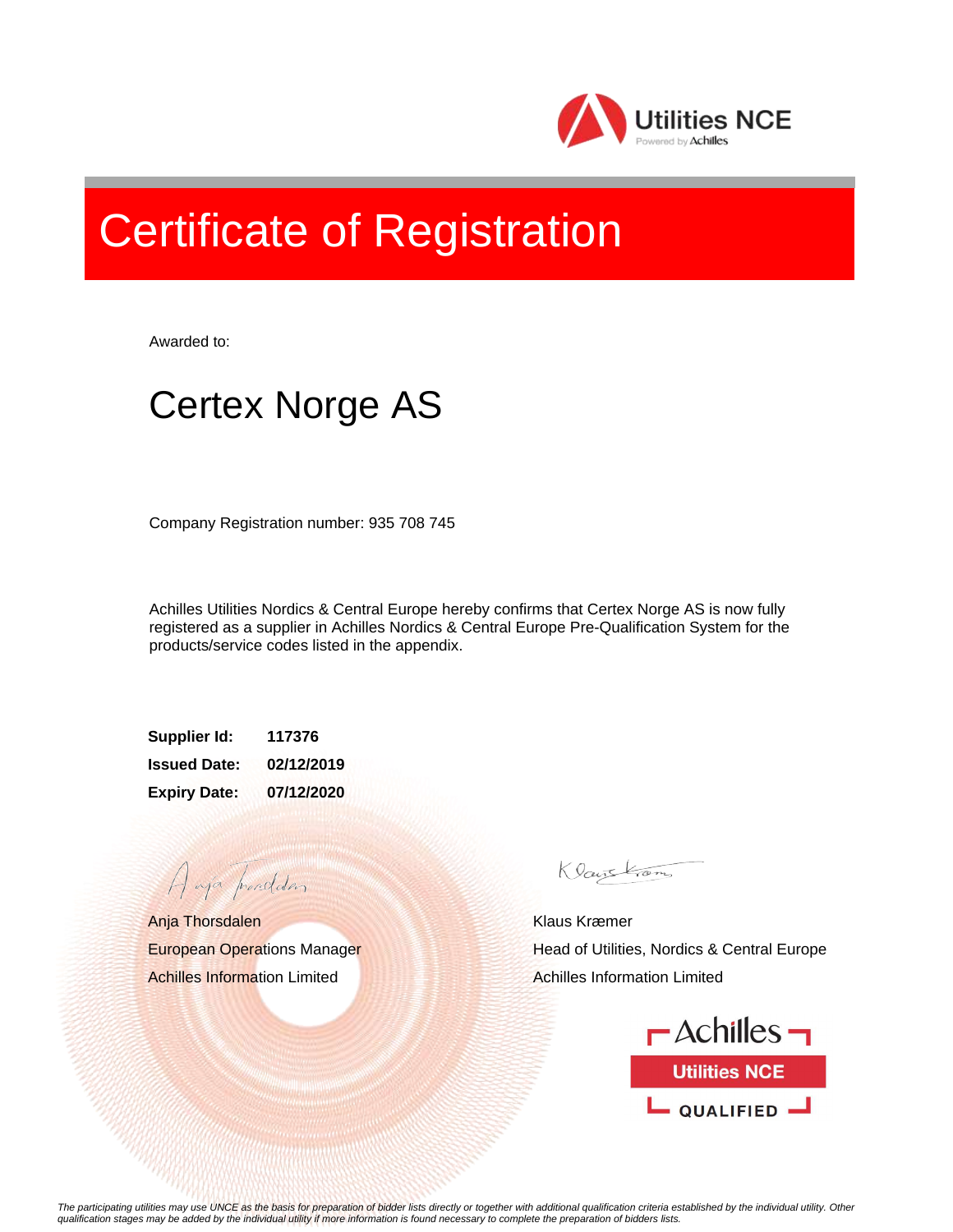

## Certificate of Registration

Awarded to:

## Certex Norge AS

Company Registration number: 935 708 745

Achilles Utilities Nordics & Central Europe hereby confirms that Certex Norge AS is now fully registered as a supplier in Achilles Nordics & Central Europe Pre-Qualification System for the products/service codes listed in the appendix.

**Supplier Id: 117376 Issued Date: 02/12/2019 Expiry Date: 07/12/2020**

Anja Thorsdalen European Operations Manager Achilles Information Limited

A aja providdan

Klauskam

Klaus Kræmer Head of Utilities, Nordics & Central Europe Achilles Information Limited



*The participating utilities may use UNCE as the basis for preparation of bidder lists directly or together with additional qualification criteria established by the individual utility. Other qualification stages may be added by the individual utility if more information is found necessary to complete the preparation of bidders lists.*